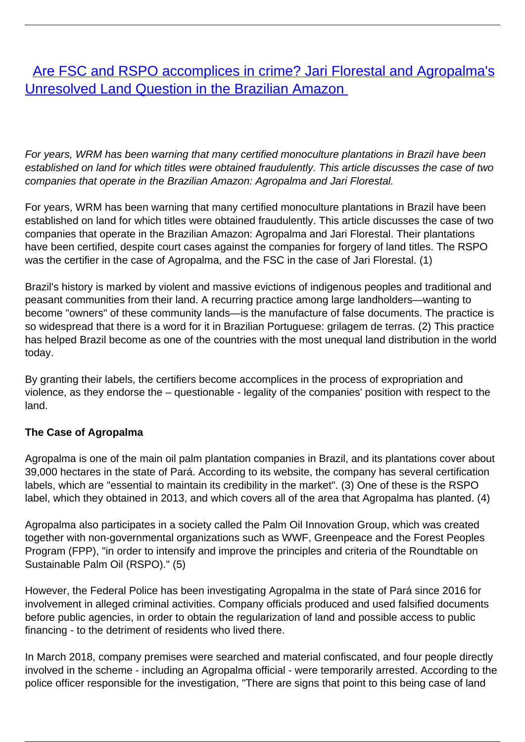[Are FSC and RSPO accomplices in crime? Jari Florestal and Agropalma's](/bulletin-articles/are-fsc-and-rspo-accomplices-in-crime-jari-florestal-and-agropalmas-unresolved-land-question-in-the) [Unresolved Land Question in the Brazilian Amazon](/bulletin-articles/are-fsc-and-rspo-accomplices-in-crime-jari-florestal-and-agropalmas-unresolved-land-question-in-the)

For years, WRM has been warning that many certified monoculture plantations in Brazil have been established on land for which titles were obtained fraudulently. This article discusses the case of two companies that operate in the Brazilian Amazon: Agropalma and Jari Florestal.

For years, WRM has been warning that many certified monoculture plantations in Brazil have been established on land for which titles were obtained fraudulently. This article discusses the case of two companies that operate in the Brazilian Amazon: Agropalma and Jari Florestal. Their plantations have been certified, despite court cases against the companies for forgery of land titles. The RSPO was the certifier in the case of Agropalma, and the FSC in the case of Jari Florestal. (1)

Brazil's history is marked by violent and massive evictions of indigenous peoples and traditional and peasant communities from their land. A recurring practice among large landholders—wanting to become "owners" of these community lands—is the manufacture of false documents. The practice is so widespread that there is a word for it in Brazilian Portuguese: grilagem de terras. (2) This practice has helped Brazil become as one of the countries with the most unequal land distribution in the world today.

By granting their labels, the certifiers become accomplices in the process of expropriation and violence, as they endorse the – questionable - legality of the companies' position with respect to the land.

## **The Case of Agropalma**

Agropalma is one of the main oil palm plantation companies in Brazil, and its plantations cover about 39,000 hectares in the state of Pará. According to its website, the company has several certification labels, which are "essential to maintain its credibility in the market". (3) One of these is the RSPO label, which they obtained in 2013, and which covers all of the area that Agropalma has planted. (4)

Agropalma also participates in a society called the Palm Oil Innovation Group, which was created together with non-governmental organizations such as WWF, Greenpeace and the Forest Peoples Program (FPP), "in order to intensify and improve the principles and criteria of the Roundtable on Sustainable Palm Oil (RSPO)." (5)

However, the Federal Police has been investigating Agropalma in the state of Pará since 2016 for involvement in alleged criminal activities. Company officials produced and used falsified documents before public agencies, in order to obtain the regularization of land and possible access to public financing - to the detriment of residents who lived there.

In March 2018, company premises were searched and material confiscated, and four people directly involved in the scheme - including an Agropalma official - were temporarily arrested. According to the police officer responsible for the investigation, "There are signs that point to this being case of land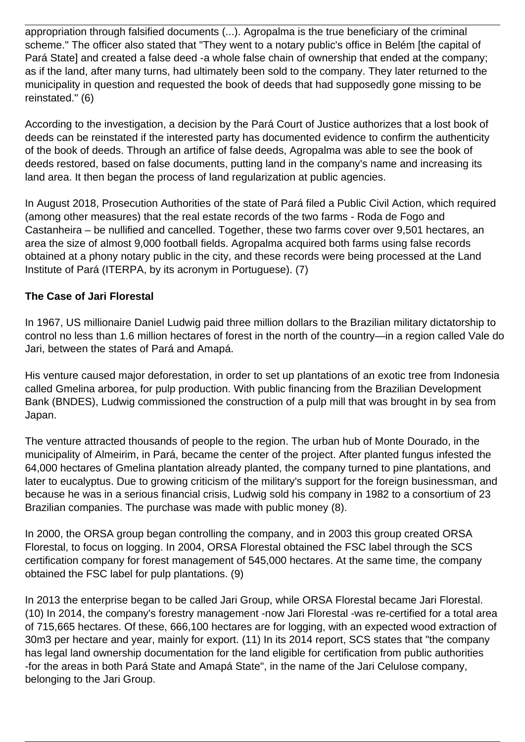appropriation through falsified documents (...). Agropalma is the true beneficiary of the criminal scheme." The officer also stated that "They went to a notary public's office in Belém [the capital of Pará State] and created a false deed -a whole false chain of ownership that ended at the company; as if the land, after many turns, had ultimately been sold to the company. They later returned to the municipality in question and requested the book of deeds that had supposedly gone missing to be reinstated." (6)

According to the investigation, a decision by the Pará Court of Justice authorizes that a lost book of deeds can be reinstated if the interested party has documented evidence to confirm the authenticity of the book of deeds. Through an artifice of false deeds, Agropalma was able to see the book of deeds restored, based on false documents, putting land in the company's name and increasing its land area. It then began the process of land regularization at public agencies.

In August 2018, Prosecution Authorities of the state of Pará filed a Public Civil Action, which required (among other measures) that the real estate records of the two farms - Roda de Fogo and Castanheira – be nullified and cancelled. Together, these two farms cover over 9,501 hectares, an area the size of almost 9,000 football fields. Agropalma acquired both farms using false records obtained at a phony notary public in the city, and these records were being processed at the Land Institute of Pará (ITERPA, by its acronym in Portuguese). (7)

## **The Case of Jari Florestal**

In 1967, US millionaire Daniel Ludwig paid three million dollars to the Brazilian military dictatorship to control no less than 1.6 million hectares of forest in the north of the country—in a region called Vale do Jari, between the states of Pará and Amapá.

His venture caused major deforestation, in order to set up plantations of an exotic tree from Indonesia called Gmelina arborea, for pulp production. With public financing from the Brazilian Development Bank (BNDES), Ludwig commissioned the construction of a pulp mill that was brought in by sea from Japan.

The venture attracted thousands of people to the region. The urban hub of Monte Dourado, in the municipality of Almeirim, in Pará, became the center of the project. After planted fungus infested the 64,000 hectares of Gmelina plantation already planted, the company turned to pine plantations, and later to eucalyptus. Due to growing criticism of the military's support for the foreign businessman, and because he was in a serious financial crisis, Ludwig sold his company in 1982 to a consortium of 23 Brazilian companies. The purchase was made with public money (8).

In 2000, the ORSA group began controlling the company, and in 2003 this group created ORSA Florestal, to focus on logging. In 2004, ORSA Florestal obtained the FSC label through the SCS certification company for forest management of 545,000 hectares. At the same time, the company obtained the FSC label for pulp plantations. (9)

In 2013 the enterprise began to be called Jari Group, while ORSA Florestal became Jari Florestal. (10) In 2014, the company's forestry management -now Jari Florestal -was re-certified for a total area of 715,665 hectares. Of these, 666,100 hectares are for logging, with an expected wood extraction of 30m3 per hectare and year, mainly for export. (11) In its 2014 report, SCS states that "the company has legal land ownership documentation for the land eligible for certification from public authorities -for the areas in both Pará State and Amapá State", in the name of the Jari Celulose company, belonging to the Jari Group.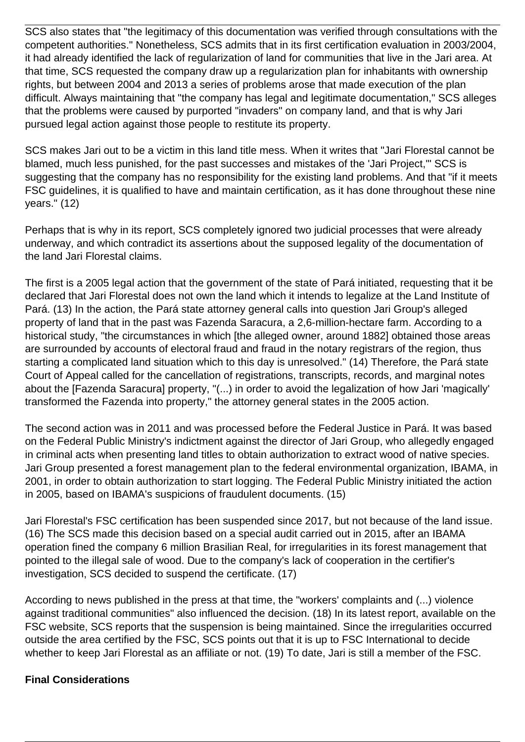SCS also states that "the legitimacy of this documentation was verified through consultations with the competent authorities." Nonetheless, SCS admits that in its first certification evaluation in 2003/2004, it had already identified the lack of regularization of land for communities that live in the Jari area. At that time, SCS requested the company draw up a regularization plan for inhabitants with ownership rights, but between 2004 and 2013 a series of problems arose that made execution of the plan difficult. Always maintaining that "the company has legal and legitimate documentation," SCS alleges that the problems were caused by purported "invaders" on company land, and that is why Jari pursued legal action against those people to restitute its property.

SCS makes Jari out to be a victim in this land title mess. When it writes that "Jari Florestal cannot be blamed, much less punished, for the past successes and mistakes of the 'Jari Project,'" SCS is suggesting that the company has no responsibility for the existing land problems. And that "if it meets FSC guidelines, it is qualified to have and maintain certification, as it has done throughout these nine years." (12)

Perhaps that is why in its report, SCS completely ignored two judicial processes that were already underway, and which contradict its assertions about the supposed legality of the documentation of the land Jari Florestal claims.

The first is a 2005 legal action that the government of the state of Pará initiated, requesting that it be declared that Jari Florestal does not own the land which it intends to legalize at the Land Institute of Pará. (13) In the action, the Pará state attorney general calls into question Jari Group's alleged property of land that in the past was Fazenda Saracura, a 2,6-million-hectare farm. According to a historical study, "the circumstances in which [the alleged owner, around 1882] obtained those areas are surrounded by accounts of electoral fraud and fraud in the notary registrars of the region, thus starting a complicated land situation which to this day is unresolved." (14) Therefore, the Pará state Court of Appeal called for the cancellation of registrations, transcripts, records, and marginal notes about the [Fazenda Saracura] property, "(...) in order to avoid the legalization of how Jari 'magically' transformed the Fazenda into property," the attorney general states in the 2005 action.

The second action was in 2011 and was processed before the Federal Justice in Pará. It was based on the Federal Public Ministry's indictment against the director of Jari Group, who allegedly engaged in criminal acts when presenting land titles to obtain authorization to extract wood of native species. Jari Group presented a forest management plan to the federal environmental organization, IBAMA, in 2001, in order to obtain authorization to start logging. The Federal Public Ministry initiated the action in 2005, based on IBAMA's suspicions of fraudulent documents. (15)

Jari Florestal's FSC certification has been suspended since 2017, but not because of the land issue. (16) The SCS made this decision based on a special audit carried out in 2015, after an IBAMA operation fined the company 6 million Brasilian Real, for irregularities in its forest management that pointed to the illegal sale of wood. Due to the company's lack of cooperation in the certifier's investigation, SCS decided to suspend the certificate. (17)

According to news published in the press at that time, the "workers' complaints and (...) violence against traditional communities" also influenced the decision. (18) In its latest report, available on the FSC website, SCS reports that the suspension is being maintained. Since the irregularities occurred outside the area certified by the FSC, SCS points out that it is up to FSC International to decide whether to keep Jari Florestal as an affiliate or not. (19) To date, Jari is still a member of the FSC.

## **Final Considerations**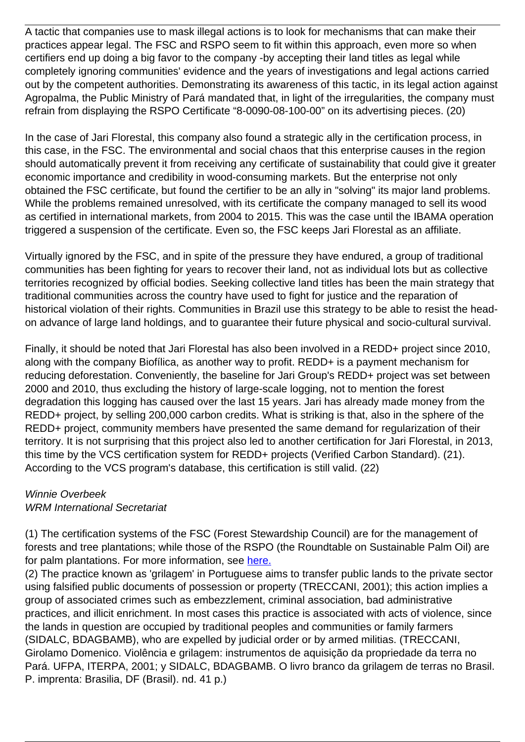A tactic that companies use to mask illegal actions is to look for mechanisms that can make their practices appear legal. The FSC and RSPO seem to fit within this approach, even more so when certifiers end up doing a big favor to the company -by accepting their land titles as legal while completely ignoring communities' evidence and the years of investigations and legal actions carried out by the competent authorities. Demonstrating its awareness of this tactic, in its legal action against Agropalma, the Public Ministry of Pará mandated that, in light of the irregularities, the company must refrain from displaying the RSPO Certificate "8-0090-08-100-00" on its advertising pieces. (20)

In the case of Jari Florestal, this company also found a strategic ally in the certification process, in this case, in the FSC. The environmental and social chaos that this enterprise causes in the region should automatically prevent it from receiving any certificate of sustainability that could give it greater economic importance and credibility in wood-consuming markets. But the enterprise not only obtained the FSC certificate, but found the certifier to be an ally in "solving" its major land problems. While the problems remained unresolved, with its certificate the company managed to sell its wood as certified in international markets, from 2004 to 2015. This was the case until the IBAMA operation triggered a suspension of the certificate. Even so, the FSC keeps Jari Florestal as an affiliate.

Virtually ignored by the FSC, and in spite of the pressure they have endured, a group of traditional communities has been fighting for years to recover their land, not as individual lots but as collective territories recognized by official bodies. Seeking collective land titles has been the main strategy that traditional communities across the country have used to fight for justice and the reparation of historical violation of their rights. Communities in Brazil use this strategy to be able to resist the headon advance of large land holdings, and to guarantee their future physical and socio-cultural survival.

Finally, it should be noted that Jari Florestal has also been involved in a REDD+ project since 2010, along with the company Biofílica, as another way to profit. REDD+ is a payment mechanism for reducing deforestation. Conveniently, the baseline for Jari Group's REDD+ project was set between 2000 and 2010, thus excluding the history of large-scale logging, not to mention the forest degradation this logging has caused over the last 15 years. Jari has already made money from the REDD+ project, by selling 200,000 carbon credits. What is striking is that, also in the sphere of the REDD+ project, community members have presented the same demand for regularization of their territory. It is not surprising that this project also led to another certification for Jari Florestal, in 2013, this time by the VCS certification system for REDD+ projects (Verified Carbon Standard). (21). According to the VCS program's database, this certification is still valid. (22)

## Winnie Overbeek WRM International Secretariat

(1) The certification systems of the FSC (Forest Stewardship Council) are for the management of forests and tree plantations; while those of the RSPO (the Roundtable on Sustainable Palm Oil) are for palm plantations. For more information, see [here.](https://wrm.org.uy/browse-by-subject/tree-plantations/certification)

(2) The practice known as 'grilagem' in Portuguese aims to transfer public lands to the private sector using falsified public documents of possession or property (TRECCANI, 2001); this action implies a group of associated crimes such as embezzlement, criminal association, bad administrative practices, and illicit enrichment. In most cases this practice is associated with acts of violence, since the lands in question are occupied by traditional peoples and communities or family farmers (SIDALC, BDAGBAMB), who are expelled by judicial order or by armed militias. (TRECCANI, Girolamo Domenico. Violência e grilagem: instrumentos de aquisição da propriedade da terra no Pará. UFPA, ITERPA, 2001; y SIDALC, BDAGBAMB. O livro branco da grilagem de terras no Brasil. P. imprenta: Brasilia, DF (Brasil). nd. 41 p.)